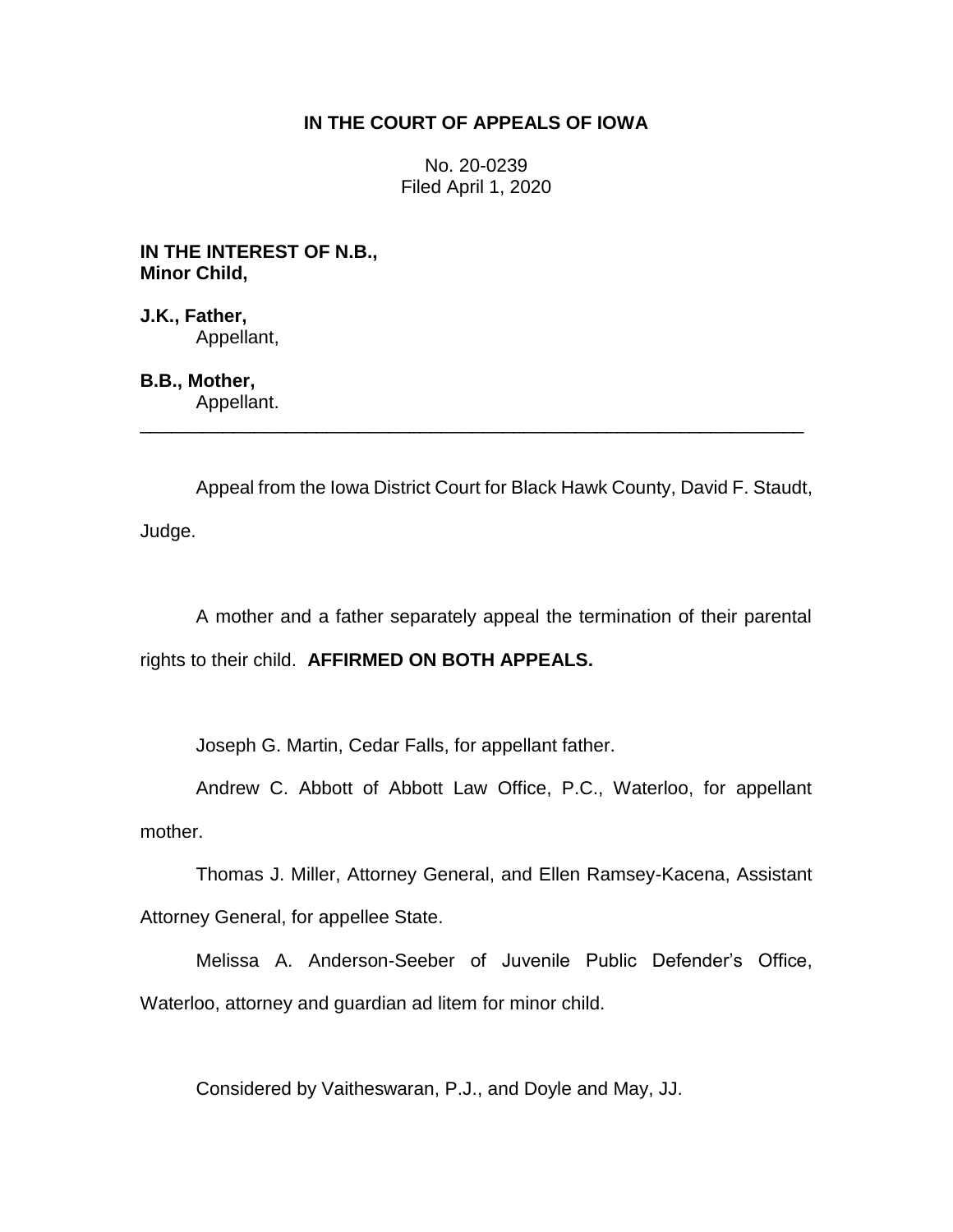## **IN THE COURT OF APPEALS OF IOWA**

No. 20-0239 Filed April 1, 2020

**IN THE INTEREST OF N.B., Minor Child,**

**J.K., Father,** Appellant,

**B.B., Mother,** Appellant.

Appeal from the Iowa District Court for Black Hawk County, David F. Staudt, Judge.

\_\_\_\_\_\_\_\_\_\_\_\_\_\_\_\_\_\_\_\_\_\_\_\_\_\_\_\_\_\_\_\_\_\_\_\_\_\_\_\_\_\_\_\_\_\_\_\_\_\_\_\_\_\_\_\_\_\_\_\_\_\_\_\_

A mother and a father separately appeal the termination of their parental rights to their child. **AFFIRMED ON BOTH APPEALS.**

Joseph G. Martin, Cedar Falls, for appellant father.

Andrew C. Abbott of Abbott Law Office, P.C., Waterloo, for appellant mother.

Thomas J. Miller, Attorney General, and Ellen Ramsey-Kacena, Assistant Attorney General, for appellee State.

Melissa A. Anderson-Seeber of Juvenile Public Defender's Office, Waterloo, attorney and guardian ad litem for minor child.

Considered by Vaitheswaran, P.J., and Doyle and May, JJ.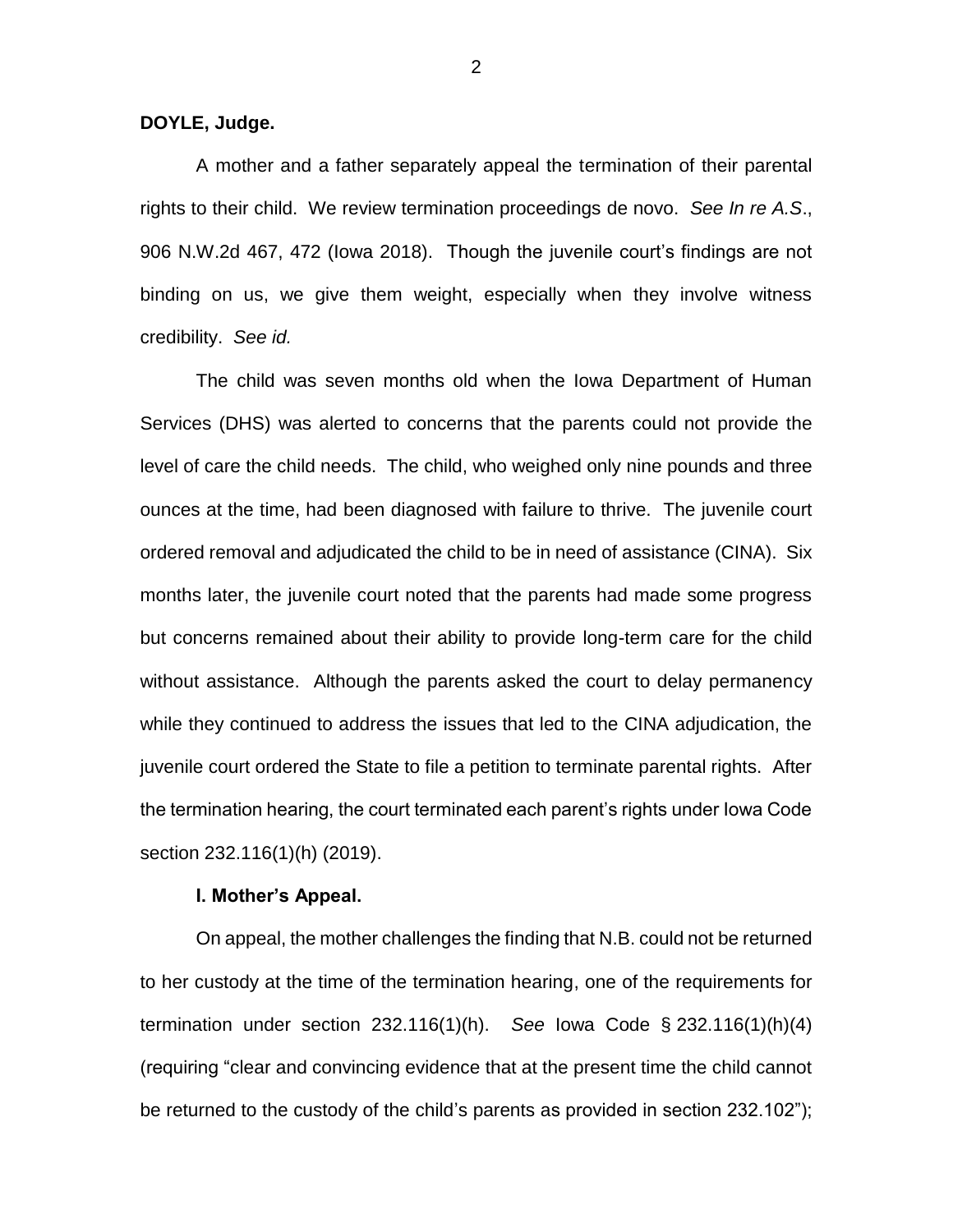**DOYLE, Judge.**

A mother and a father separately appeal the termination of their parental rights to their child. We review termination proceedings de novo. *See In re A.S*., 906 N.W.2d 467, 472 (Iowa 2018). Though the juvenile court's findings are not binding on us, we give them weight, especially when they involve witness credibility. *See id.*

The child was seven months old when the Iowa Department of Human Services (DHS) was alerted to concerns that the parents could not provide the level of care the child needs. The child, who weighed only nine pounds and three ounces at the time, had been diagnosed with failure to thrive. The juvenile court ordered removal and adjudicated the child to be in need of assistance (CINA). Six months later, the juvenile court noted that the parents had made some progress but concerns remained about their ability to provide long-term care for the child without assistance. Although the parents asked the court to delay permanency while they continued to address the issues that led to the CINA adjudication, the juvenile court ordered the State to file a petition to terminate parental rights. After the termination hearing, the court terminated each parent's rights under Iowa Code section 232.116(1)(h) (2019).

## **I. Mother's Appeal.**

On appeal, the mother challenges the finding that N.B. could not be returned to her custody at the time of the termination hearing, one of the requirements for termination under section 232.116(1)(h). *See* Iowa Code § 232.116(1)(h)(4) (requiring "clear and convincing evidence that at the present time the child cannot be returned to the custody of the child's parents as provided in section 232.102");

2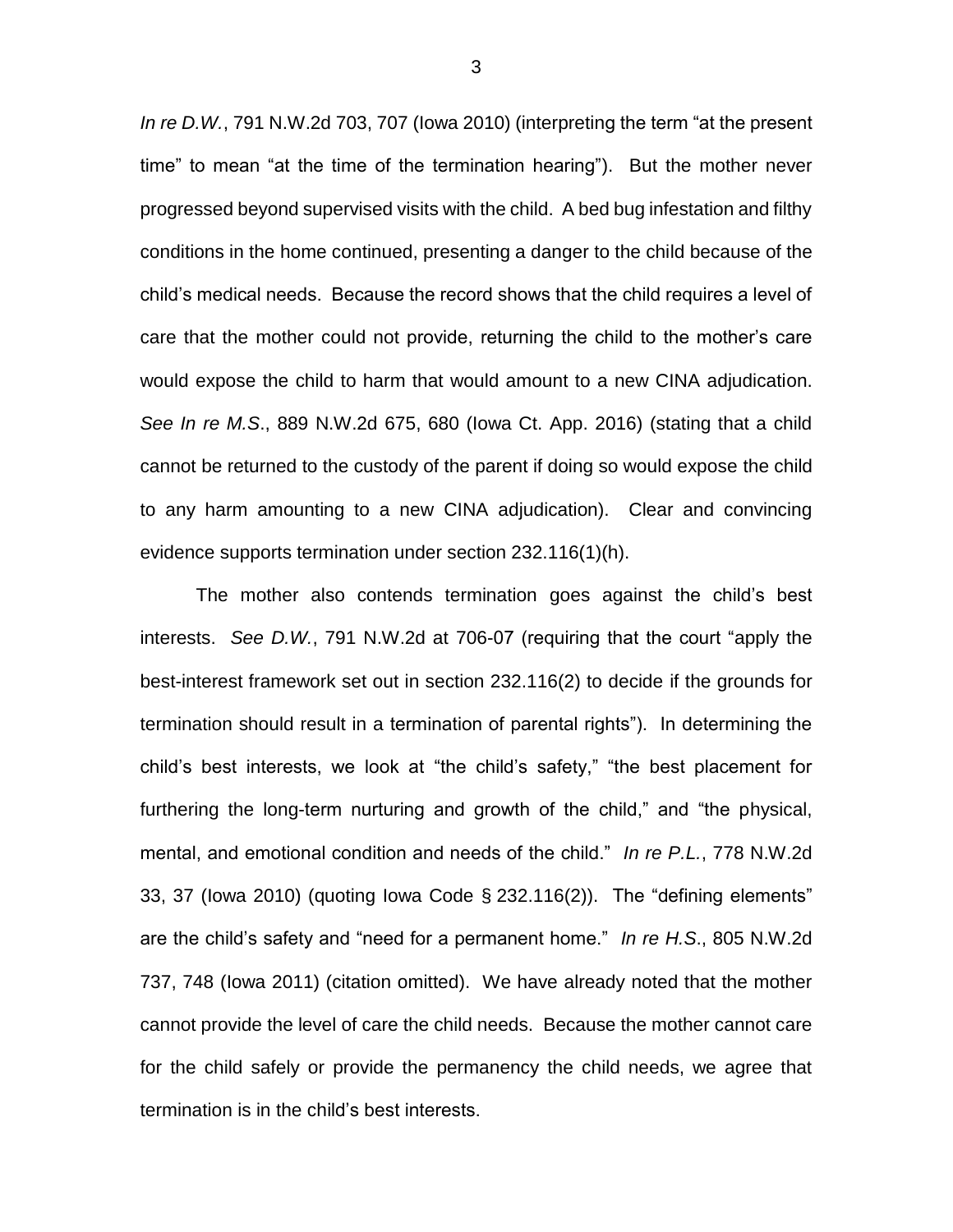*In re D.W.*, 791 N.W.2d 703, 707 (Iowa 2010) (interpreting the term "at the present time" to mean "at the time of the termination hearing"). But the mother never progressed beyond supervised visits with the child. A bed bug infestation and filthy conditions in the home continued, presenting a danger to the child because of the child's medical needs. Because the record shows that the child requires a level of care that the mother could not provide, returning the child to the mother's care would expose the child to harm that would amount to a new CINA adjudication. *See In re M.S*., 889 N.W.2d 675, 680 (Iowa Ct. App. 2016) (stating that a child cannot be returned to the custody of the parent if doing so would expose the child to any harm amounting to a new CINA adjudication). Clear and convincing evidence supports termination under section 232.116(1)(h).

The mother also contends termination goes against the child's best interests. *See D.W.*, 791 N.W.2d at 706-07 (requiring that the court "apply the best-interest framework set out in section 232.116(2) to decide if the grounds for termination should result in a termination of parental rights"). In determining the child's best interests, we look at "the child's safety," "the best placement for furthering the long-term nurturing and growth of the child," and "the physical, mental, and emotional condition and needs of the child." *In re P.L.*, 778 N.W.2d 33, 37 (Iowa 2010) (quoting Iowa Code § 232.116(2)). The "defining elements" are the child's safety and "need for a permanent home." *In re H.S*., 805 N.W.2d 737, 748 (Iowa 2011) (citation omitted). We have already noted that the mother cannot provide the level of care the child needs. Because the mother cannot care for the child safely or provide the permanency the child needs, we agree that termination is in the child's best interests.

3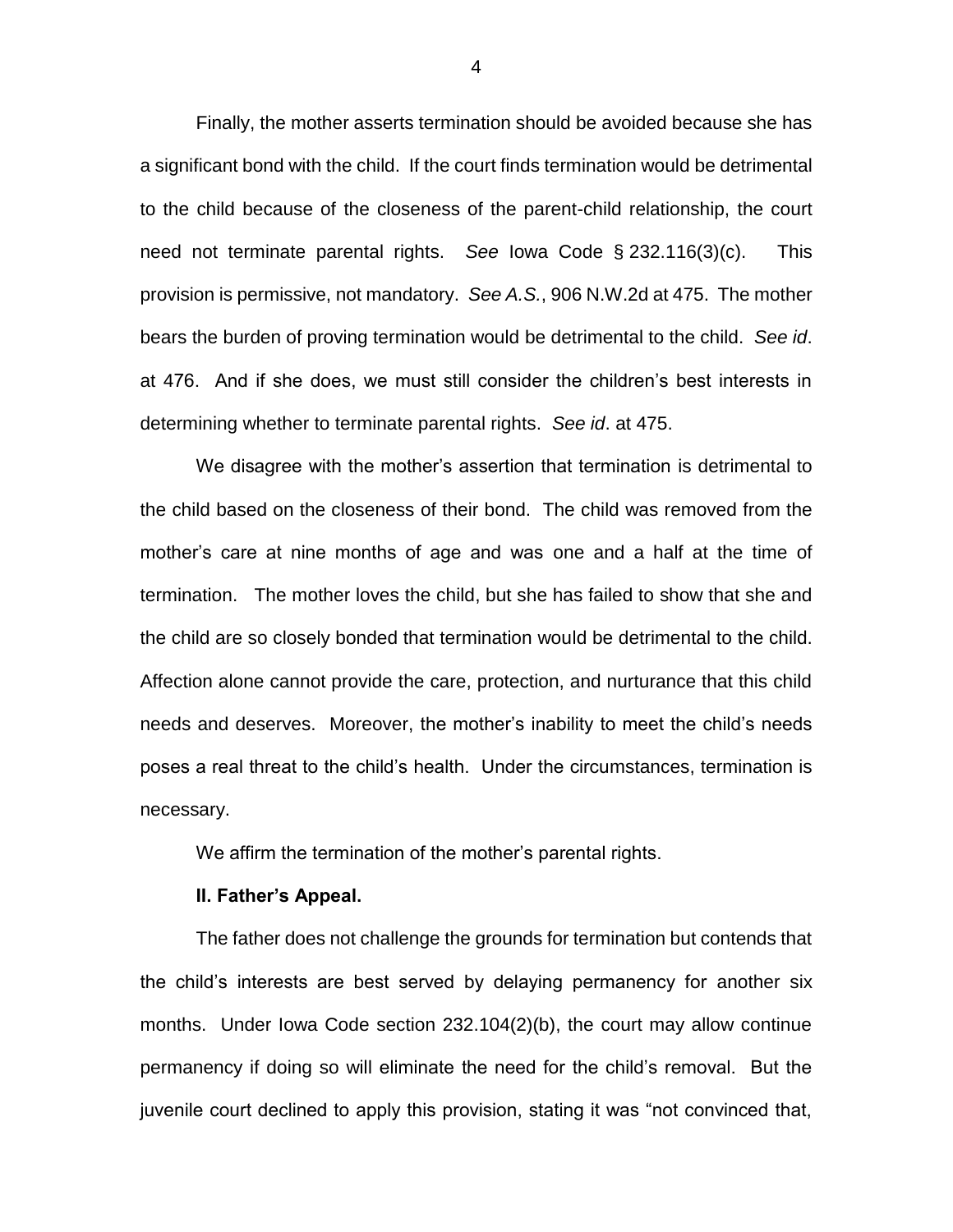Finally, the mother asserts termination should be avoided because she has a significant bond with the child. If the court finds termination would be detrimental to the child because of the closeness of the parent-child relationship, the court need not terminate parental rights. *See* Iowa Code § 232.116(3)(c). This provision is permissive, not mandatory. *See A.S.*, 906 N.W.2d at 475. The mother bears the burden of proving termination would be detrimental to the child. *See id*. at 476. And if she does, we must still consider the children's best interests in determining whether to terminate parental rights. *See id*. at 475.

We disagree with the mother's assertion that termination is detrimental to the child based on the closeness of their bond. The child was removed from the mother's care at nine months of age and was one and a half at the time of termination. The mother loves the child, but she has failed to show that she and the child are so closely bonded that termination would be detrimental to the child. Affection alone cannot provide the care, protection, and nurturance that this child needs and deserves. Moreover, the mother's inability to meet the child's needs poses a real threat to the child's health. Under the circumstances, termination is necessary.

We affirm the termination of the mother's parental rights.

## **II. Father's Appeal.**

The father does not challenge the grounds for termination but contends that the child's interests are best served by delaying permanency for another six months. Under Iowa Code section 232.104(2)(b), the court may allow continue permanency if doing so will eliminate the need for the child's removal. But the juvenile court declined to apply this provision, stating it was "not convinced that,

4